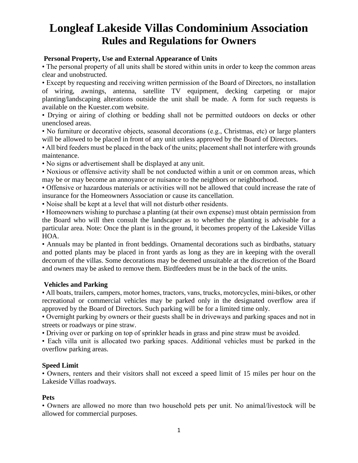# **Longleaf Lakeside Villas Condominium Association Rules and Regulations for Owners**

### **Personal Property, Use and External Appearance of Units**

• The personal property of all units shall be stored within units in order to keep the common areas clear and unobstructed.

• Except by requesting and receiving written permission of the Board of Directors, no installation of wiring, awnings, antenna, satellite TV equipment, decking carpeting or major planting/landscaping alterations outside the unit shall be made. A form for such requests is available on the Kuester.com website.

• Drying or airing of clothing or bedding shall not be permitted outdoors on decks or other unenclosed areas.

• No furniture or decorative objects, seasonal decorations (e.g., Christmas, etc) or large planters will be allowed to be placed in front of any unit unless approved by the Board of Directors.

• All bird feeders must be placed in the back of the units; placement shall not interfere with grounds maintenance.

• No signs or advertisement shall be displayed at any unit.

• Noxious or offensive activity shall be not conducted within a unit or on common areas, which may be or may become an annoyance or nuisance to the neighbors or neighborhood.

• Offensive or hazardous materials or activities will not be allowed that could increase the rate of insurance for the Homeowners Association or cause its cancellation.

• Noise shall be kept at a level that will not disturb other residents.

• Homeowners wishing to purchase a planting (at their own expense) must obtain permission from the Board who will then consult the landscaper as to whether the planting is advisable for a particular area. Note: Once the plant is in the ground, it becomes property of the Lakeside Villas HOA.

• Annuals may be planted in front beddings. Ornamental decorations such as birdbaths, statuary and potted plants may be placed in front yards as long as they are in keeping with the overall decorum of the villas. Some decorations may be deemed unsuitable at the discretion of the Board and owners may be asked to remove them. Birdfeeders must be in the back of the units.

#### **Vehicles and Parking**

• All boats, trailers, campers, motor homes, tractors, vans, trucks, motorcycles, mini-bikes, or other recreational or commercial vehicles may be parked only in the designated overflow area if approved by the Board of Directors. Such parking will be for a limited time only.

• Overnight parking by owners or their guests shall be in driveways and parking spaces and not in streets or roadways or pine straw.

• Driving over or parking on top of sprinkler heads in grass and pine straw must be avoided.

• Each villa unit is allocated two parking spaces. Additional vehicles must be parked in the overflow parking areas.

#### **Speed Limit**

• Owners, renters and their visitors shall not exceed a speed limit of 15 miles per hour on the Lakeside Villas roadways.

#### **Pets**

• Owners are allowed no more than two household pets per unit. No animal/livestock will be allowed for commercial purposes.